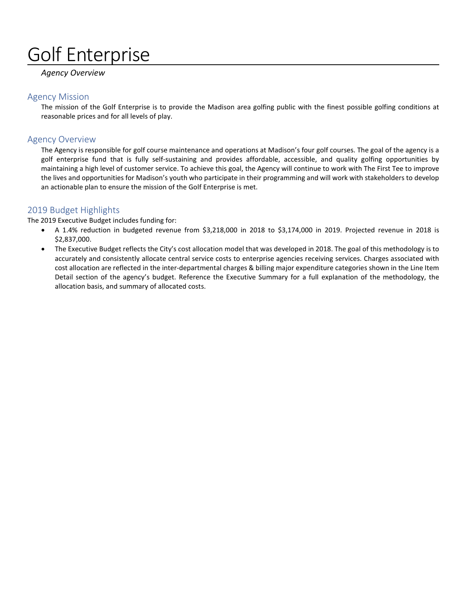# Golf Enterprise

#### *Agency Overview*

#### Agency Mission

The mission of the Golf Enterprise is to provide the Madison area golfing public with the finest possible golfing conditions at reasonable prices and for all levels of play.

#### Agency Overview

The Agency is responsible for golf course maintenance and operations at Madison's four golf courses. The goal of the agency is a golf enterprise fund that is fully self-sustaining and provides affordable, accessible, and quality golfing opportunities by maintaining a high level of customer service. To achieve this goal, the Agency will continue to work with The First Tee to improve the lives and opportunities for Madison's youth who participate in their programming and will work with stakeholders to develop an actionable plan to ensure the mission of the Golf Enterprise is met.

#### 2019 Budget Highlights

The 2019 Executive Budget includes funding for:

- A 1.4% reduction in budgeted revenue from \$3,218,000 in 2018 to \$3,174,000 in 2019. Projected revenue in 2018 is \$2,837,000.
- The Executive Budget reflects the City's cost allocation model that was developed in 2018. The goal of this methodology is to accurately and consistently allocate central service costs to enterprise agencies receiving services. Charges associated with cost allocation are reflected in the inter-departmental charges & billing major expenditure categories shown in the Line Item Detail section of the agency's budget. Reference the Executive Summary for a full explanation of the methodology, the allocation basis, and summary of allocated costs.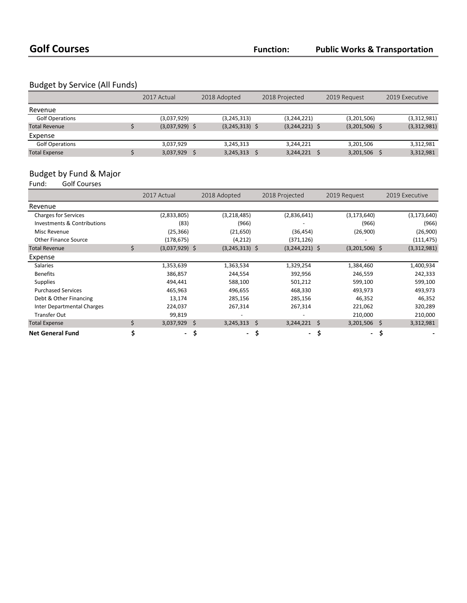### Budget by Service (All Funds)

|                        | 2017 Actual      | 2018 Adopted     | 2018 Projected   | 2019 Request     | 2019 Executive |  |
|------------------------|------------------|------------------|------------------|------------------|----------------|--|
| Revenue                |                  |                  |                  |                  |                |  |
| <b>Golf Operations</b> | (3,037,929)      | (3, 245, 313)    | (3,244,221)      | (3,201,506)      | (3,312,981)    |  |
| <b>Total Revenue</b>   | $(3,037,929)$ \$ | $(3,245,313)$ \$ | $(3,244,221)$ \$ | $(3,201,506)$ \$ | (3,312,981)    |  |
| Expense                |                  |                  |                  |                  |                |  |
| <b>Golf Operations</b> | 3,037,929        | 3.245.313        | 3.244.221        | 3.201.506        | 3,312,981      |  |
| <b>Total Expense</b>   | 3,037,929        | 3,245,313        | 3,244,221        | 3,201,506        | 3,312,981      |  |

#### Budget by Fund & Major

Fund: Golf Courses

|                             |    | 2017 Actual      |    | 2018 Adopted     |     | 2018 Projected   |    | 2019 Request     |    | 2019 Executive |  |
|-----------------------------|----|------------------|----|------------------|-----|------------------|----|------------------|----|----------------|--|
| Revenue                     |    |                  |    |                  |     |                  |    |                  |    |                |  |
| <b>Charges for Services</b> |    | (2,833,805)      |    | (3, 218, 485)    |     | (2,836,641)      |    | (3, 173, 640)    |    | (3, 173, 640)  |  |
| Investments & Contributions |    | (83)             |    | (966)            |     |                  |    | (966)            |    | (966)          |  |
| Misc Revenue                |    | (25, 366)        |    | (21, 650)        |     | (36, 454)        |    | (26,900)         |    | (26,900)       |  |
| <b>Other Finance Source</b> |    | (178, 675)       |    | (4, 212)         |     | (371, 126)       |    |                  |    | (111, 475)     |  |
| <b>Total Revenue</b>        | Ś  | $(3,037,929)$ \$ |    | $(3,245,313)$ \$ |     | $(3,244,221)$ \$ |    | $(3,201,506)$ \$ |    | (3,312,981)    |  |
| Expense                     |    |                  |    |                  |     |                  |    |                  |    |                |  |
| <b>Salaries</b>             |    | 1,353,639        |    | 1,363,534        |     | 1,329,254        |    | 1,384,460        |    | 1,400,934      |  |
| <b>Benefits</b>             |    | 386,857          |    | 244,554          |     | 392,956          |    | 246,559          |    | 242,333        |  |
| <b>Supplies</b>             |    | 494,441          |    | 588,100          |     | 501,212          |    | 599,100          |    | 599,100        |  |
| <b>Purchased Services</b>   |    | 465,963          |    | 496,655          |     | 468,330          |    | 493,973          |    | 493,973        |  |
| Debt & Other Financing      |    | 13,174           |    | 285,156          |     | 285,156          |    | 46,352           |    | 46,352         |  |
| Inter Departmental Charges  |    | 224,037          |    | 267,314          |     | 267,314          |    | 221,062          |    | 320,289        |  |
| <b>Transfer Out</b>         |    | 99,819           |    |                  |     |                  |    | 210,000          |    | 210,000        |  |
| <b>Total Expense</b>        | Ś. | 3,037,929        | Ŝ. | $3,245,313$ \$   |     | 3,244,221        | Ś. | 3,201,506        | Ś. | 3,312,981      |  |
| <b>Net General Fund</b>     | \$ | $\sim$           | \$ | $\sim$           | .\$ | $\blacksquare$   | \$ | $\sim$           | \$ |                |  |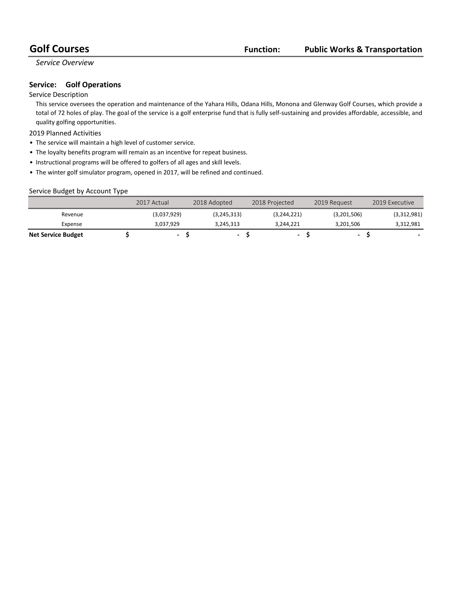#### *Service Overview*

#### **Service:** Golf Operations

#### Service Description

This service oversees the operation and maintenance of the Yahara Hills, Odana Hills, Monona and Glenway Golf Courses, which provide a total of 72 holes of play. The goal of the service is a golf enterprise fund that is fully self-sustaining and provides affordable, accessible, and quality golfing opportunities.

#### 2019 Planned Activities

- The service will maintain a high level of customer service.
- The loyalty benefits program will remain as an incentive for repeat business.
- Instructional programs will be offered to golfers of all ages and skill levels.
- The winter golf simulator program, opened in 2017, will be refined and continued.

#### Service Budget by Account Type

|                           | 2017 Actual | 2018 Adopted             | 2018 Projected | 2019 Request             | 2019 Executive |
|---------------------------|-------------|--------------------------|----------------|--------------------------|----------------|
| Revenue                   | (3,037,929) | (3,245,313)              | (3,244,221)    | (3,201,506)              | (3,312,981)    |
| Expense                   | 3.037.929   | 3,245,313                | 3.244.221      | 3.201.506                | 3,312,981      |
| <b>Net Service Budget</b> | $\sim$      | $\overline{\phantom{a}}$ |                | $\overline{\phantom{a}}$ |                |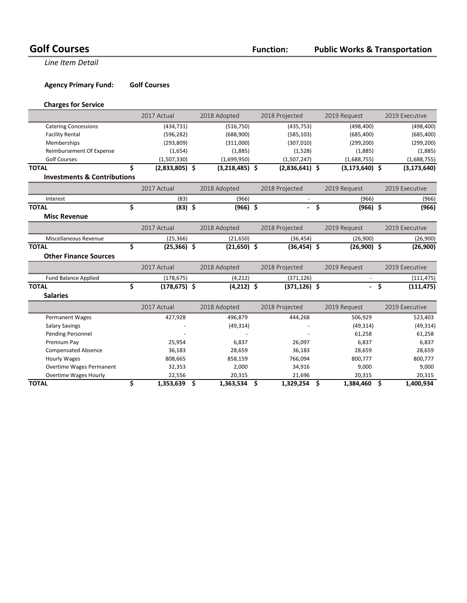#### **Public Works & Transportation**

**Line Item Detail** 

#### **Agency Primary Fund: Golf Courses**

#### **Charges for Service**

|                                        | 2017 Actual            |    | 2018 Adopted     | 2018 Projected |                  |                     | 2019 Request       |      | 2019 Executive |  |
|----------------------------------------|------------------------|----|------------------|----------------|------------------|---------------------|--------------------|------|----------------|--|
| <b>Catering Concessions</b>            | (434, 731)             |    | (516, 750)       |                | (435, 753)       |                     | (498, 400)         |      | (498, 400)     |  |
| <b>Facility Rental</b>                 | (596, 282)             |    | (688,900)        |                | (585, 103)       |                     | (685, 400)         |      | (685, 400)     |  |
| Memberships                            | (293, 809)             |    | (311,000)        |                | (307, 010)       |                     | (299, 200)         |      | (299, 200)     |  |
| Reimbursement Of Expense               | (1,654)                |    | (1,885)          |                | (1,528)          |                     | (1,885)            |      | (1,885)        |  |
| <b>Golf Courses</b>                    | (1,507,330)            |    | (1,699,950)      |                | (1,507,247)      |                     | (1,688,755)        |      | (1,688,755)    |  |
| <b>TOTAL</b>                           | \$<br>$(2,833,805)$ \$ |    | $(3,218,485)$ \$ |                | $(2,836,641)$ \$ |                     | $(3, 173, 640)$ \$ |      | (3, 173, 640)  |  |
| <b>Investments &amp; Contributions</b> |                        |    |                  |                |                  |                     |                    |      |                |  |
|                                        | 2017 Actual            |    | 2018 Adopted     |                | 2018 Projected   |                     | 2019 Request       |      | 2019 Executive |  |
| Interest                               | (83)                   |    | (966)            |                |                  |                     | (966)              |      | (966)          |  |
| <b>TOTAL</b>                           | \$<br>$(83)$ \$        |    | $(966)$ \$       |                | $\omega_{\rm c}$ | $\ddot{\bm{\zeta}}$ | $(966)$ \$         |      | (966)          |  |
| <b>Misc Revenue</b>                    |                        |    |                  |                |                  |                     |                    |      |                |  |
|                                        | 2017 Actual            |    | 2018 Adopted     |                | 2018 Projected   |                     | 2019 Request       |      | 2019 Executive |  |
| Miscellaneous Revenue                  | (25, 366)              |    | (21,650)         |                | (36, 454)        |                     | (26,900)           |      | (26,900)       |  |
| <b>TOTAL</b>                           | \$<br>$(25,366)$ \$    |    | $(21,650)$ \$    |                | $(36, 454)$ \$   |                     | $(26,900)$ \$      |      | (26,900)       |  |
| <b>Other Finance Sources</b>           |                        |    |                  |                |                  |                     |                    |      |                |  |
|                                        | 2017 Actual            |    | 2018 Adopted     |                | 2018 Projected   |                     | 2019 Request       |      | 2019 Executive |  |
| <b>Fund Balance Applied</b>            | (178, 675)             |    | (4, 212)         |                | (371, 126)       |                     |                    |      | (111, 475)     |  |
| <b>TOTAL</b>                           | \$<br>$(178, 675)$ \$  |    | $(4,212)$ \$     |                | $(371, 126)$ \$  |                     |                    | - \$ | (111, 475)     |  |
| <b>Salaries</b>                        |                        |    |                  |                |                  |                     |                    |      |                |  |
|                                        | 2017 Actual            |    | 2018 Adopted     |                | 2018 Projected   |                     | 2019 Request       |      | 2019 Executive |  |
| Permanent Wages                        | 427,928                |    | 496,879          |                | 444,268          |                     | 506,929            |      | 523,403        |  |
| <b>Salary Savings</b>                  |                        |    | (49, 314)        |                |                  |                     | (49, 314)          |      | (49, 314)      |  |
| Pending Personnel                      |                        |    |                  |                |                  |                     | 61,258             |      | 61,258         |  |
| Premium Pay                            | 25,954                 |    | 6,837            |                | 26,097           |                     | 6,837              |      | 6,837          |  |
| <b>Compensated Absence</b>             | 36,183                 |    | 28,659           |                | 36,183           |                     | 28,659             |      | 28,659         |  |
| <b>Hourly Wages</b>                    | 808,665                |    | 858,159          |                | 766,094          |                     | 800,777            |      | 800,777        |  |
| <b>Overtime Wages Permanent</b>        | 32,353                 |    | 2,000            |                | 34,916           |                     | 9,000              |      | 9,000          |  |
| <b>Overtime Wages Hourly</b>           | 22,556                 |    | 20,315           |                | 21,696           |                     | 20,315             |      | 20,315         |  |
| <b>TOTAL</b>                           | \$<br>1,353,639        | \$ | 1,363,534        | \$             | 1,329,254        | \$                  | 1,384,460          | \$   | 1,400,934      |  |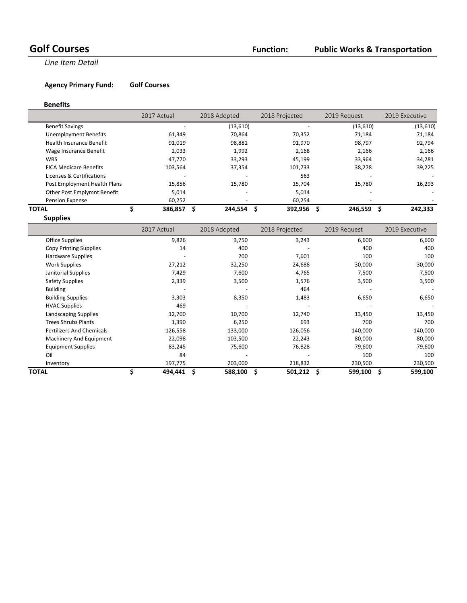#### **Public Works & Transportation**

**Line Item Detail** 

#### **Agency Primary Fund: Golf Courses**

#### **Benefits**

|                                 | 2017 Actual |                          | 2018 Adopted | 2018 Projected | 2019 Request |       | 2019 Executive |
|---------------------------------|-------------|--------------------------|--------------|----------------|--------------|-------|----------------|
| <b>Benefit Savings</b>          |             | $\overline{\phantom{a}}$ | (13,610)     |                | (13,610)     |       | (13,610)       |
| <b>Unemployment Benefits</b>    | 61,349      |                          | 70.864       | 70.352         | 71,184       |       | 71,184         |
| <b>Health Insurance Benefit</b> | 91,019      |                          | 98,881       | 91.970         | 98,797       |       | 92,794         |
| Wage Insurance Benefit          |             | 2,033                    | 1,992        | 2,168          |              | 2,166 | 2,166          |
| <b>WRS</b>                      | 47.770      |                          | 33.293       | 45.199         | 33,964       |       | 34,281         |
| <b>FICA Medicare Benefits</b>   | 103,564     |                          | 37,354       | 101,733        | 38,278       |       | 39,225         |
| Licenses & Certifications       |             | $\overline{\phantom{a}}$ |              | 563            |              |       |                |
| Post Employment Health Plans    | 15,856      |                          | 15,780       | 15.704         | 15,780       |       | 16,293         |
| Other Post Emplymnt Benefit     |             | 5,014                    |              | 5,014          |              |       |                |
| Pension Expense                 | 60,252      |                          |              | 60.254         |              |       |                |
| TOTAL                           | 386,857     |                          | 244,554      | 392,956<br>S   | 246,559      |       | 242,333        |

**Supplies**

|                                  | 2017 Actual | 2018 Adopted | 2018 Projected  | 2019 Request  | 2019 Executive |
|----------------------------------|-------------|--------------|-----------------|---------------|----------------|
| <b>Office Supplies</b>           | 9,826       | 3,750        | 3,243           | 6,600         | 6,600          |
| <b>Copy Printing Supplies</b>    | 14          | 400          |                 | 400           | 400            |
| Hardware Supplies                |             | 200          | 7,601           | 100           | 100            |
| <b>Work Supplies</b>             | 27,212      | 32,250       | 24,688          | 30,000        | 30,000         |
| Janitorial Supplies              | 7,429       | 7,600        | 4,765           | 7,500         | 7,500          |
| Safety Supplies                  | 2,339       | 3,500        | 1,576           | 3,500         | 3,500          |
| <b>Building</b>                  |             |              | 464             |               |                |
| <b>Building Supplies</b>         | 3,303       | 8,350        | 1,483           | 6,650         | 6,650          |
| <b>HVAC Supplies</b>             | 469         |              |                 |               |                |
| Landscaping Supplies             | 12,700      | 10,700       | 12,740          | 13,450        | 13,450         |
| <b>Trees Shrubs Plants</b>       | 1,390       | 6,250        | 693             | 700           | 700            |
| <b>Fertilizers And Chemicals</b> | 126,558     | 133,000      | 126,056         | 140,000       | 140,000        |
| Machinery And Equipment          | 22,098      | 103,500      | 22,243          | 80,000        | 80,000         |
| <b>Equipment Supplies</b>        | 83,245      | 75,600       | 76,828          | 79,600        | 79,600         |
| Oil                              | 84          |              |                 | 100           | 100            |
| Inventory                        | 197,775     | 203,000      | 218,832         | 230,500       | 230,500        |
| <b>TOTAL</b>                     | 494,441     | 588,100<br>Ś | 501,212<br>- \$ | 599,100<br>\$ | 599,100<br>Ŝ   |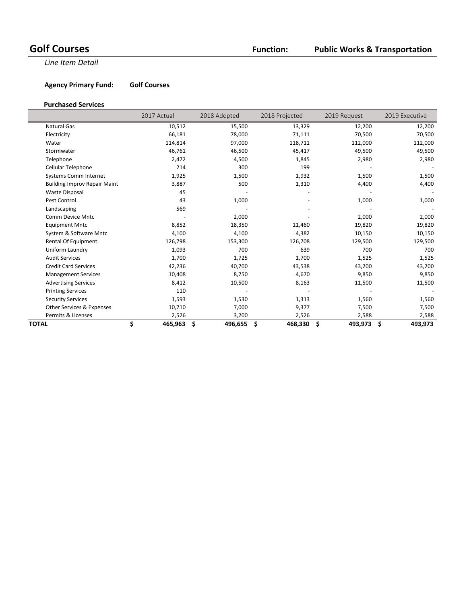#### **Public Works & Transportation**

**Line Item Detail** 

**Agency Primary Fund: Golf Courses** 

#### **Purchased Services**

|                                     | 2017 Actual   | 2018 Adopted  | 2018 Projected | 2019 Request  | 2019 Executive |
|-------------------------------------|---------------|---------------|----------------|---------------|----------------|
| <b>Natural Gas</b>                  | 10,512        | 15,500        | 13,329         | 12,200        | 12,200         |
| Electricity                         | 66,181        | 78,000        | 71,111         | 70,500        | 70,500         |
| Water                               | 114,814       | 97,000        | 118,711        | 112,000       | 112,000        |
| Stormwater                          | 46,761        | 46,500        | 45,417         | 49,500        | 49,500         |
| Telephone                           | 2,472         | 4,500         | 1,845          | 2,980         | 2,980          |
| Cellular Telephone                  | 214           | 300           | 199            |               |                |
| <b>Systems Comm Internet</b>        | 1,925         | 1,500         | 1,932          | 1,500         | 1,500          |
| <b>Building Improv Repair Maint</b> | 3,887         | 500           | 1,310          | 4,400         | 4,400          |
| <b>Waste Disposal</b>               | 45            |               |                |               |                |
| Pest Control                        | 43            | 1,000         |                | 1,000         | 1,000          |
| Landscaping                         | 569           |               |                |               |                |
| Comm Device Mntc                    |               | 2,000         |                | 2,000         | 2,000          |
| <b>Equipment Mntc</b>               | 8,852         | 18,350        | 11,460         | 19,820        | 19,820         |
| System & Software Mntc              | 4,100         | 4,100         | 4,382          | 10,150        | 10,150         |
| Rental Of Equipment                 | 126,798       | 153,300       | 126,708        | 129,500       | 129,500        |
| Uniform Laundry                     | 1,093         | 700           | 639            | 700           | 700            |
| <b>Audit Services</b>               | 1,700         | 1,725         | 1,700          | 1,525         | 1,525          |
| <b>Credit Card Services</b>         | 42,236        | 40,700        | 43,538         | 43,200        | 43,200         |
| <b>Management Services</b>          | 10,408        | 8,750         | 4,670          | 9,850         | 9,850          |
| <b>Advertising Services</b>         | 8,412         | 10,500        | 8,163          | 11,500        | 11,500         |
| <b>Printing Services</b>            | 110           |               |                |               |                |
| <b>Security Services</b>            | 1,593         | 1,530         | 1,313          | 1,560         | 1,560          |
| Other Services & Expenses           | 10,710        | 7,000         | 9,377          | 7,500         | 7,500          |
| Permits & Licenses                  | 2,526         | 3,200         | 2,526          | 2,588         | 2,588          |
| TOTAL                               | \$<br>465,963 | \$<br>496,655 | \$<br>468,330  | \$<br>493,973 | \$<br>493,973  |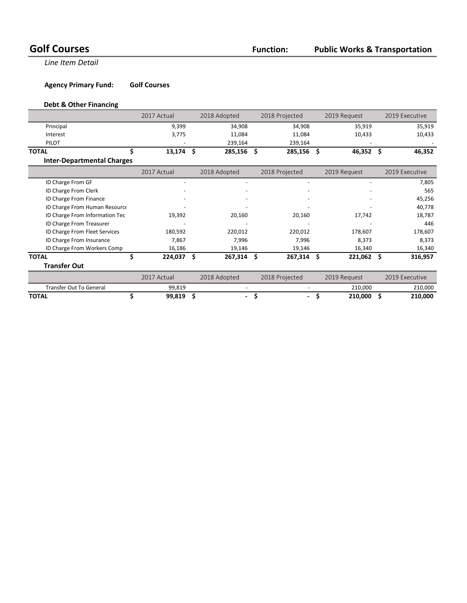**Line Item Detail** 

**Agency Primary Fund: Golf Courses** 

#### **Debt & Other Financing**

|                                   | 2017 Actual | 2018 Adopted |              | 2018 Projected                 |    | 2019 Request |    | 2019 Executive |
|-----------------------------------|-------------|--------------|--------------|--------------------------------|----|--------------|----|----------------|
| Principal                         | 9,399       |              | 34,908       | 34,908                         |    | 35,919       |    | 35,919         |
| Interest                          | 3,775       |              | 11,084       | 11,084                         |    | 10,433       |    | 10,433         |
| <b>PILOT</b>                      |             |              | 239,164      | 239,164                        |    |              |    |                |
| <b>TOTAL</b>                      | 13,174      | -S           | 285,156 \$   | 285,156                        | S  | 46,352       | s  | 46,352         |
| <b>Inter-Departmental Charges</b> |             |              |              |                                |    |              |    |                |
|                                   | 2017 Actual |              | 2018 Adopted | 2018 Projected                 |    | 2019 Request |    | 2019 Executive |
| ID Charge From GF                 |             |              |              |                                |    |              |    | 7,805          |
| ID Charge From Clerk              |             |              |              |                                |    |              |    | 565            |
| ID Charge From Finance            |             |              |              |                                |    |              |    | 45,256         |
| ID Charge From Human Resource     |             |              |              |                                |    |              |    | 40,778         |
| ID Charge From Information Tec    | 19,392      |              | 20,160       | 20,160                         |    | 17,742       |    | 18,787         |
| ID Charge From Treasurer          |             |              |              |                                |    |              |    | 446            |
| ID Charge From Fleet Services     | 180,592     |              | 220,012      | 220,012                        |    | 178,607      |    | 178,607        |
| ID Charge From Insurance          | 7,867       |              | 7,996        | 7,996                          |    | 8,373        |    | 8,373          |
| ID Charge From Workers Comp       | 16,186      |              | 19,146       | 19,146                         |    | 16,340       |    | 16,340         |
| <b>TOTAL</b>                      | 224,037     | Ŝ            | $267,314$ \$ | 267,314                        | \$ | 221,062      | s  | 316,957        |
| <b>Transfer Out</b>               |             |              |              |                                |    |              |    |                |
|                                   | 2017 Actual |              | 2018 Adopted | 2018 Projected                 |    | 2019 Request |    | 2019 Executive |
| <b>Transfer Out To General</b>    | 99,819      |              |              |                                |    | 210,000      |    | 210,000        |
| <b>TOTAL</b>                      | 99,819      | \$           | ۰.           | \$<br>$\overline{\phantom{a}}$ | Ş  | 210,000      | \$ | 210,000        |